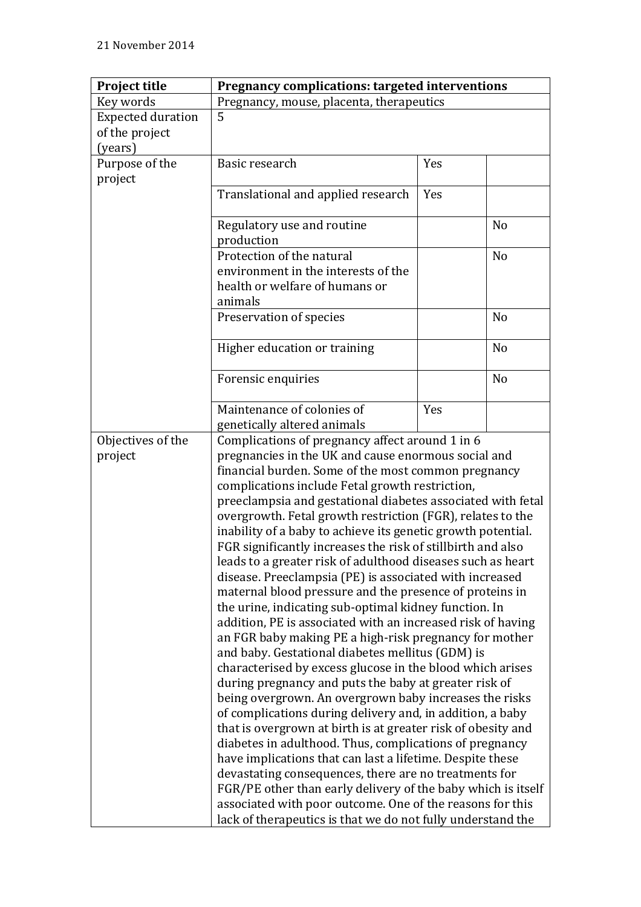| <b>Project title</b>     | Pregnancy complications: targeted interventions                                                                                                                               |     |                |  |
|--------------------------|-------------------------------------------------------------------------------------------------------------------------------------------------------------------------------|-----|----------------|--|
| Key words                | Pregnancy, mouse, placenta, therapeutics                                                                                                                                      |     |                |  |
| <b>Expected duration</b> | 5                                                                                                                                                                             |     |                |  |
| of the project           |                                                                                                                                                                               |     |                |  |
| (years)                  |                                                                                                                                                                               |     |                |  |
| Purpose of the           | Basic research                                                                                                                                                                | Yes |                |  |
| project                  |                                                                                                                                                                               |     |                |  |
|                          | Translational and applied research                                                                                                                                            | Yes |                |  |
|                          | Regulatory use and routine                                                                                                                                                    |     | N <sub>o</sub> |  |
|                          | production                                                                                                                                                                    |     |                |  |
|                          | Protection of the natural                                                                                                                                                     |     | N <sub>o</sub> |  |
|                          | environment in the interests of the                                                                                                                                           |     |                |  |
|                          | health or welfare of humans or                                                                                                                                                |     |                |  |
|                          | animals                                                                                                                                                                       |     |                |  |
|                          | Preservation of species                                                                                                                                                       |     | N <sub>o</sub> |  |
|                          | Higher education or training                                                                                                                                                  |     | N <sub>o</sub> |  |
|                          | Forensic enquiries                                                                                                                                                            |     | N <sub>o</sub> |  |
|                          | Maintenance of colonies of                                                                                                                                                    | Yes |                |  |
|                          | genetically altered animals                                                                                                                                                   |     |                |  |
| Objectives of the        | Complications of pregnancy affect around 1 in 6                                                                                                                               |     |                |  |
| project                  | pregnancies in the UK and cause enormous social and                                                                                                                           |     |                |  |
|                          | financial burden. Some of the most common pregnancy<br>complications include Fetal growth restriction,<br>preeclampsia and gestational diabetes associated with fetal         |     |                |  |
|                          |                                                                                                                                                                               |     |                |  |
|                          |                                                                                                                                                                               |     |                |  |
|                          | overgrowth. Fetal growth restriction (FGR), relates to the                                                                                                                    |     |                |  |
|                          | inability of a baby to achieve its genetic growth potential.<br>FGR significantly increases the risk of stillbirth and also                                                   |     |                |  |
|                          |                                                                                                                                                                               |     |                |  |
|                          | leads to a greater risk of adulthood diseases such as heart                                                                                                                   |     |                |  |
|                          | disease. Preeclampsia (PE) is associated with increased                                                                                                                       |     |                |  |
|                          | maternal blood pressure and the presence of proteins in                                                                                                                       |     |                |  |
|                          | the urine, indicating sub-optimal kidney function. In                                                                                                                         |     |                |  |
|                          | addition, PE is associated with an increased risk of having                                                                                                                   |     |                |  |
|                          | an FGR baby making PE a high-risk pregnancy for mother<br>and baby. Gestational diabetes mellitus (GDM) is<br>characterised by excess glucose in the blood which arises       |     |                |  |
|                          |                                                                                                                                                                               |     |                |  |
|                          |                                                                                                                                                                               |     |                |  |
|                          | during pregnancy and puts the baby at greater risk of                                                                                                                         |     |                |  |
|                          | being overgrown. An overgrown baby increases the risks<br>of complications during delivery and, in addition, a baby                                                           |     |                |  |
|                          |                                                                                                                                                                               |     |                |  |
|                          | that is overgrown at birth is at greater risk of obesity and                                                                                                                  |     |                |  |
|                          | diabetes in adulthood. Thus, complications of pregnancy<br>have implications that can last a lifetime. Despite these<br>devastating consequences, there are no treatments for |     |                |  |
|                          |                                                                                                                                                                               |     |                |  |
|                          |                                                                                                                                                                               |     |                |  |
|                          | FGR/PE other than early delivery of the baby which is itself                                                                                                                  |     |                |  |
|                          | associated with poor outcome. One of the reasons for this                                                                                                                     |     |                |  |
|                          | lack of therapeutics is that we do not fully understand the                                                                                                                   |     |                |  |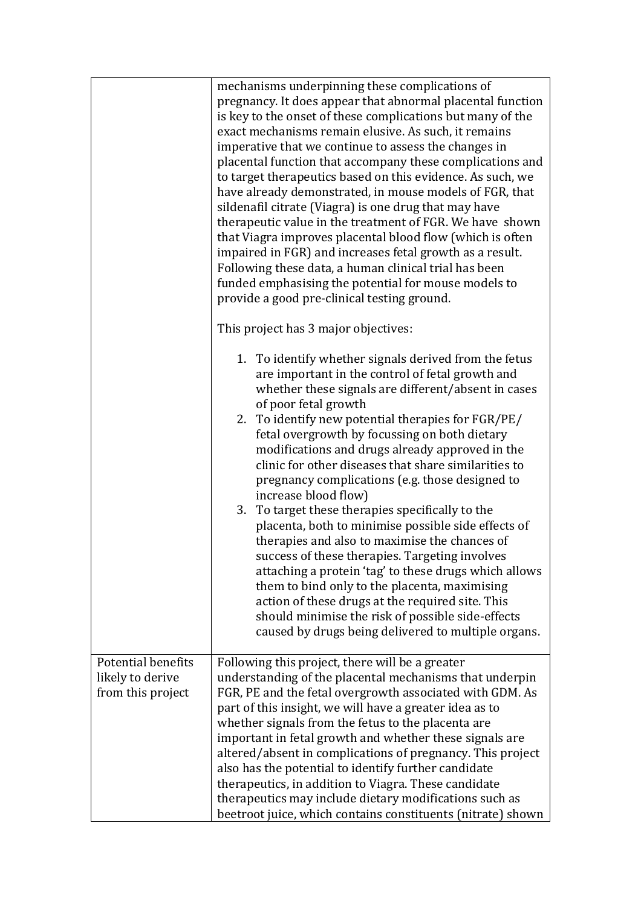|                                                                    | mechanisms underpinning these complications of<br>pregnancy. It does appear that abnormal placental function<br>is key to the onset of these complications but many of the<br>exact mechanisms remain elusive. As such, it remains<br>imperative that we continue to assess the changes in<br>placental function that accompany these complications and<br>to target therapeutics based on this evidence. As such, we<br>have already demonstrated, in mouse models of FGR, that<br>sildenafil citrate (Viagra) is one drug that may have<br>therapeutic value in the treatment of FGR. We have shown<br>that Viagra improves placental blood flow (which is often<br>impaired in FGR) and increases fetal growth as a result.<br>Following these data, a human clinical trial has been<br>funded emphasising the potential for mouse models to                                                                                                                               |  |
|--------------------------------------------------------------------|-------------------------------------------------------------------------------------------------------------------------------------------------------------------------------------------------------------------------------------------------------------------------------------------------------------------------------------------------------------------------------------------------------------------------------------------------------------------------------------------------------------------------------------------------------------------------------------------------------------------------------------------------------------------------------------------------------------------------------------------------------------------------------------------------------------------------------------------------------------------------------------------------------------------------------------------------------------------------------|--|
|                                                                    | provide a good pre-clinical testing ground.<br>This project has 3 major objectives:                                                                                                                                                                                                                                                                                                                                                                                                                                                                                                                                                                                                                                                                                                                                                                                                                                                                                           |  |
|                                                                    | 1. To identify whether signals derived from the fetus<br>are important in the control of fetal growth and<br>whether these signals are different/absent in cases<br>of poor fetal growth<br>2. To identify new potential therapies for FGR/PE/<br>fetal overgrowth by focussing on both dietary<br>modifications and drugs already approved in the<br>clinic for other diseases that share similarities to<br>pregnancy complications (e.g. those designed to<br>increase blood flow)<br>3. To target these therapies specifically to the<br>placenta, both to minimise possible side effects of<br>therapies and also to maximise the chances of<br>success of these therapies. Targeting involves<br>attaching a protein 'tag' to these drugs which allows<br>them to bind only to the placenta, maximising<br>action of these drugs at the required site. This<br>should minimise the risk of possible side-effects<br>caused by drugs being delivered to multiple organs. |  |
| <b>Potential benefits</b><br>likely to derive<br>from this project | Following this project, there will be a greater<br>understanding of the placental mechanisms that underpin<br>FGR, PE and the fetal overgrowth associated with GDM. As<br>part of this insight, we will have a greater idea as to<br>whether signals from the fetus to the placenta are<br>important in fetal growth and whether these signals are<br>altered/absent in complications of pregnancy. This project<br>also has the potential to identify further candidate<br>therapeutics, in addition to Viagra. These candidate<br>therapeutics may include dietary modifications such as<br>beetroot juice, which contains constituents (nitrate) shown                                                                                                                                                                                                                                                                                                                     |  |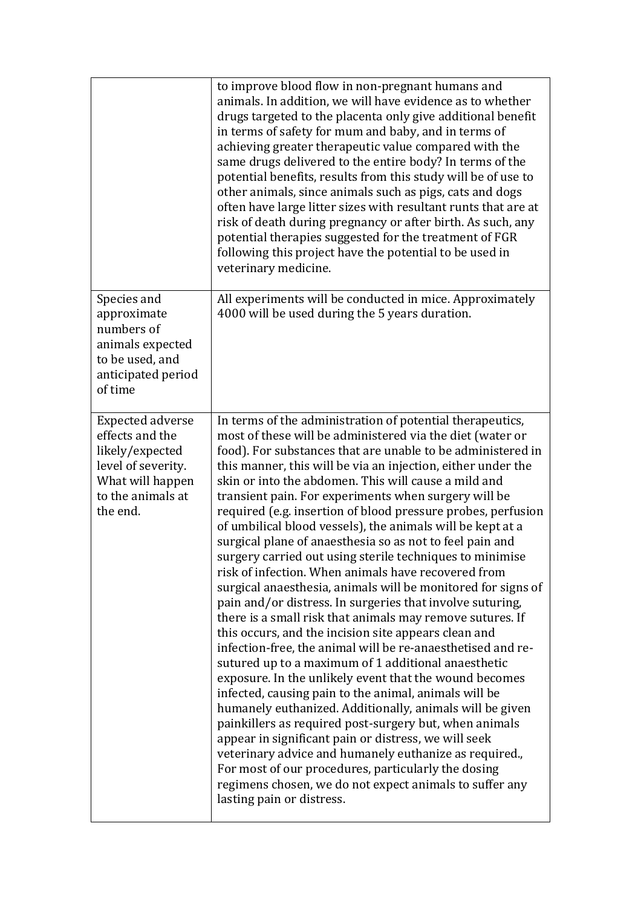|                                                                                                                                          | to improve blood flow in non-pregnant humans and<br>animals. In addition, we will have evidence as to whether<br>drugs targeted to the placenta only give additional benefit<br>in terms of safety for mum and baby, and in terms of<br>achieving greater therapeutic value compared with the<br>same drugs delivered to the entire body? In terms of the<br>potential benefits, results from this study will be of use to<br>other animals, since animals such as pigs, cats and dogs<br>often have large litter sizes with resultant runts that are at<br>risk of death during pregnancy or after birth. As such, any<br>potential therapies suggested for the treatment of FGR<br>following this project have the potential to be used in<br>veterinary medicine.                                                                                                                                                                                                                                                                                                                                                                                                                                                                                                                                                                                                                                                                                                                                                                                                 |
|------------------------------------------------------------------------------------------------------------------------------------------|----------------------------------------------------------------------------------------------------------------------------------------------------------------------------------------------------------------------------------------------------------------------------------------------------------------------------------------------------------------------------------------------------------------------------------------------------------------------------------------------------------------------------------------------------------------------------------------------------------------------------------------------------------------------------------------------------------------------------------------------------------------------------------------------------------------------------------------------------------------------------------------------------------------------------------------------------------------------------------------------------------------------------------------------------------------------------------------------------------------------------------------------------------------------------------------------------------------------------------------------------------------------------------------------------------------------------------------------------------------------------------------------------------------------------------------------------------------------------------------------------------------------------------------------------------------------|
| Species and<br>approximate<br>numbers of<br>animals expected<br>to be used, and<br>anticipated period<br>of time                         | All experiments will be conducted in mice. Approximately<br>4000 will be used during the 5 years duration.                                                                                                                                                                                                                                                                                                                                                                                                                                                                                                                                                                                                                                                                                                                                                                                                                                                                                                                                                                                                                                                                                                                                                                                                                                                                                                                                                                                                                                                           |
| <b>Expected adverse</b><br>effects and the<br>likely/expected<br>level of severity.<br>What will happen<br>to the animals at<br>the end. | In terms of the administration of potential therapeutics,<br>most of these will be administered via the diet (water or<br>food). For substances that are unable to be administered in<br>this manner, this will be via an injection, either under the<br>skin or into the abdomen. This will cause a mild and<br>transient pain. For experiments when surgery will be<br>required (e.g. insertion of blood pressure probes, perfusion<br>of umbilical blood vessels), the animals will be kept at a<br>surgical plane of anaesthesia so as not to feel pain and<br>surgery carried out using sterile techniques to minimise<br>risk of infection. When animals have recovered from<br>surgical anaesthesia, animals will be monitored for signs of<br>pain and/or distress. In surgeries that involve suturing,<br>there is a small risk that animals may remove sutures. If<br>this occurs, and the incision site appears clean and<br>infection-free, the animal will be re-anaesthetised and re-<br>sutured up to a maximum of 1 additional anaesthetic<br>exposure. In the unlikely event that the wound becomes<br>infected, causing pain to the animal, animals will be<br>humanely euthanized. Additionally, animals will be given<br>painkillers as required post-surgery but, when animals<br>appear in significant pain or distress, we will seek<br>veterinary advice and humanely euthanize as required.,<br>For most of our procedures, particularly the dosing<br>regimens chosen, we do not expect animals to suffer any<br>lasting pain or distress. |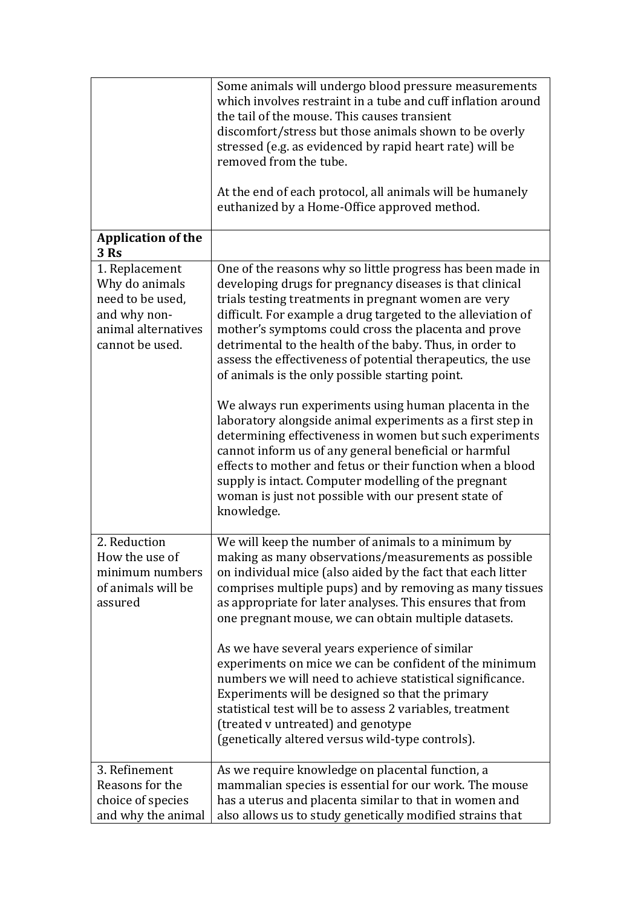|                                                                                                                | Some animals will undergo blood pressure measurements<br>which involves restraint in a tube and cuff inflation around<br>the tail of the mouse. This causes transient<br>discomfort/stress but those animals shown to be overly<br>stressed (e.g. as evidenced by rapid heart rate) will be<br>removed from the tube.<br>At the end of each protocol, all animals will be humanely<br>euthanized by a Home-Office approved method.                                                                                                                                                                                                                                                                                                             |
|----------------------------------------------------------------------------------------------------------------|------------------------------------------------------------------------------------------------------------------------------------------------------------------------------------------------------------------------------------------------------------------------------------------------------------------------------------------------------------------------------------------------------------------------------------------------------------------------------------------------------------------------------------------------------------------------------------------------------------------------------------------------------------------------------------------------------------------------------------------------|
| <b>Application of the</b><br>3 Rs                                                                              |                                                                                                                                                                                                                                                                                                                                                                                                                                                                                                                                                                                                                                                                                                                                                |
| 1. Replacement<br>Why do animals<br>need to be used,<br>and why non-<br>animal alternatives<br>cannot be used. | One of the reasons why so little progress has been made in<br>developing drugs for pregnancy diseases is that clinical<br>trials testing treatments in pregnant women are very<br>difficult. For example a drug targeted to the alleviation of<br>mother's symptoms could cross the placenta and prove<br>detrimental to the health of the baby. Thus, in order to<br>assess the effectiveness of potential therapeutics, the use<br>of animals is the only possible starting point.                                                                                                                                                                                                                                                           |
|                                                                                                                | We always run experiments using human placenta in the<br>laboratory alongside animal experiments as a first step in<br>determining effectiveness in women but such experiments<br>cannot inform us of any general beneficial or harmful<br>effects to mother and fetus or their function when a blood<br>supply is intact. Computer modelling of the pregnant<br>woman is just not possible with our present state of<br>knowledge.                                                                                                                                                                                                                                                                                                            |
| 2. Reduction<br>How the use of<br>minimum numbers<br>of animals will be<br>assured                             | We will keep the number of animals to a minimum by<br>making as many observations/measurements as possible<br>on individual mice (also aided by the fact that each litter<br>comprises multiple pups) and by removing as many tissues<br>as appropriate for later analyses. This ensures that from<br>one pregnant mouse, we can obtain multiple datasets.<br>As we have several years experience of similar<br>experiments on mice we can be confident of the minimum<br>numbers we will need to achieve statistical significance.<br>Experiments will be designed so that the primary<br>statistical test will be to assess 2 variables, treatment<br>(treated v untreated) and genotype<br>(genetically altered versus wild-type controls). |
| 3. Refinement<br>Reasons for the<br>choice of species<br>and why the animal                                    | As we require knowledge on placental function, a<br>mammalian species is essential for our work. The mouse<br>has a uterus and placenta similar to that in women and<br>also allows us to study genetically modified strains that                                                                                                                                                                                                                                                                                                                                                                                                                                                                                                              |